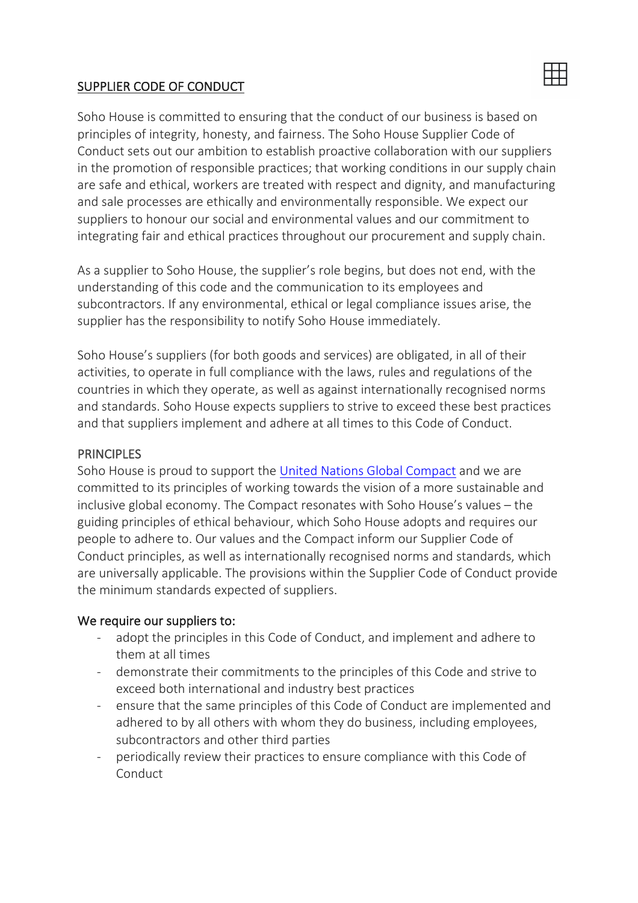#### SUPPLIER CODE OF CONDUCT

Soho House is committed to ensuring that the conduct of our business is based on principles of integrity, honesty, and fairness. The Soho House Supplier Code of Conduct sets out our ambition to establish proactive collaboration with our suppliers in the promotion of responsible practices; that working conditions in our supply chain are safe and ethical, workers are treated with respect and dignity, and manufacturing and sale processes are ethically and environmentally responsible. We expect our suppliers to honour our social and environmental values and our commitment to integrating fair and ethical practices throughout our procurement and supply chain.

出

As a supplier to Soho House, the supplier's role begins, but does not end, with the understanding of this code and the communication to its employees and subcontractors. If any environmental, ethical or legal compliance issues arise, the supplier has the responsibility to notify Soho House immediately.

Soho House's suppliers (for both goods and services) are obligated, in all of their activities, to operate in full compliance with the laws, rules and regulations of the countries in which they operate, as well as against internationally recognised norms and standards. Soho House expects suppliers to strive to exceed these best practices and that suppliers implement and adhere at all times to this Code of Conduct.

#### **PRINCIPLES**

Soho House is proud to support the United Nations Global Compact and we are committed to its principles of working towards the vision of a more sustainable and inclusive global economy. The Compact resonates with Soho House's values – the guiding principles of ethical behaviour, which Soho House adopts and requires our people to adhere to. Our values and the Compact inform our Supplier Code of Conduct principles, as well as internationally recognised norms and standards, which are universally applicable. The provisions within the Supplier Code of Conduct provide the minimum standards expected of suppliers.

#### We require our suppliers to:

- adopt the principles in this Code of Conduct, and implement and adhere to them at all times
- demonstrate their commitments to the principles of this Code and strive to exceed both international and industry best practices
- ensure that the same principles of this Code of Conduct are implemented and adhered to by all others with whom they do business, including employees, subcontractors and other third parties
- periodically review their practices to ensure compliance with this Code of Conduct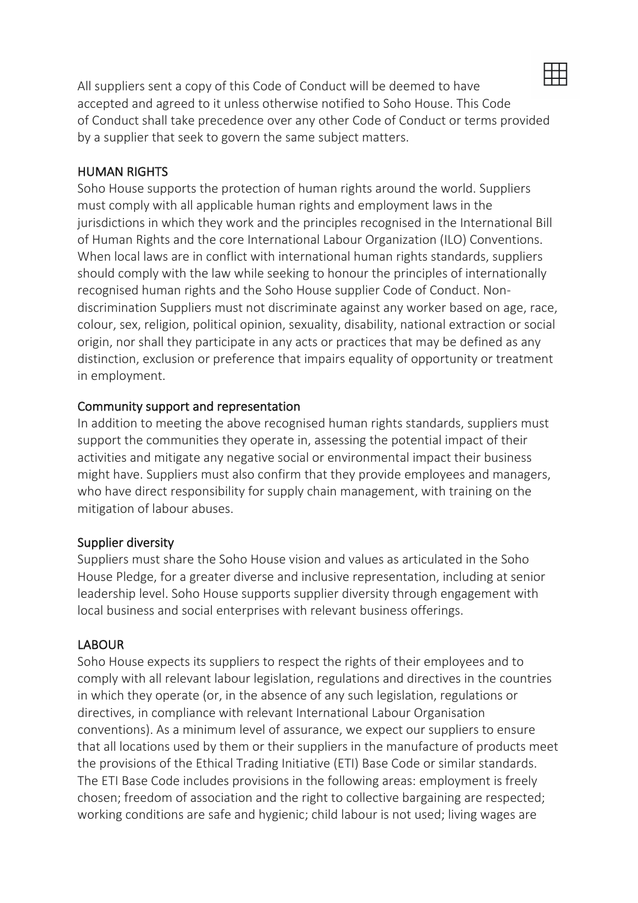

All suppliers sent a copy of this Code of Conduct will be deemed to have accepted and agreed to it unless otherwise notified to Soho House. This Code of Conduct shall take precedence over any other Code of Conduct or terms provided by a supplier that seek to govern the same subject matters.

#### HUMAN RIGHTS

Soho House supports the protection of human rights around the world. Suppliers must comply with all applicable human rights and employment laws in the jurisdictions in which they work and the principles recognised in the International Bill of Human Rights and the core International Labour Organization (ILO) Conventions. When local laws are in conflict with international human rights standards, suppliers should comply with the law while seeking to honour the principles of internationally recognised human rights and the Soho House supplier Code of Conduct. Nondiscrimination Suppliers must not discriminate against any worker based on age, race, colour, sex, religion, political opinion, sexuality, disability, national extraction or social origin, nor shall they participate in any acts or practices that may be defined as any distinction, exclusion or preference that impairs equality of opportunity or treatment in employment.

#### Community support and representation

In addition to meeting the above recognised human rights standards, suppliers must support the communities they operate in, assessing the potential impact of their activities and mitigate any negative social or environmental impact their business might have. Suppliers must also confirm that they provide employees and managers, who have direct responsibility for supply chain management, with training on the mitigation of labour abuses.

#### Supplier diversity

Suppliers must share the Soho House vision and values as articulated in the Soho House Pledge, for a greater diverse and inclusive representation, including at senior leadership level. Soho House supports supplier diversity through engagement with local business and social enterprises with relevant business offerings.

#### LABOUR

Soho House expects its suppliers to respect the rights of their employees and to comply with all relevant labour legislation, regulations and directives in the countries in which they operate (or, in the absence of any such legislation, regulations or directives, in compliance with relevant International Labour Organisation conventions). As a minimum level of assurance, we expect our suppliers to ensure that all locations used by them or their suppliers in the manufacture of products meet the provisions of the Ethical Trading Initiative (ETI) Base Code or similar standards. The ETI Base Code includes provisions in the following areas: employment is freely chosen; freedom of association and the right to collective bargaining are respected; working conditions are safe and hygienic; child labour is not used; living wages are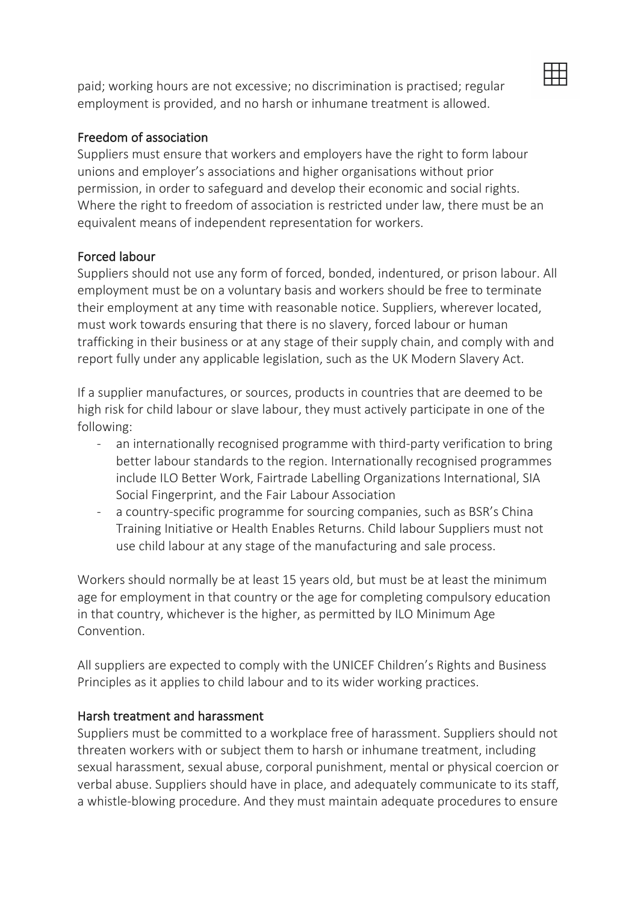paid; working hours are not excessive; no discrimination is practised; regular employment is provided, and no harsh or inhumane treatment is allowed.

#### Freedom of association

Suppliers must ensure that workers and employers have the right to form labour unions and employer's associations and higher organisations without prior permission, in order to safeguard and develop their economic and social rights. Where the right to freedom of association is restricted under law, there must be an equivalent means of independent representation for workers.

# Forced labour

Suppliers should not use any form of forced, bonded, indentured, or prison labour. All employment must be on a voluntary basis and workers should be free to terminate their employment at any time with reasonable notice. Suppliers, wherever located, must work towards ensuring that there is no slavery, forced labour or human trafficking in their business or at any stage of their supply chain, and comply with and report fully under any applicable legislation, such as the UK Modern Slavery Act.

If a supplier manufactures, or sources, products in countries that are deemed to be high risk for child labour or slave labour, they must actively participate in one of the following:

- an internationally recognised programme with third-party verification to bring better labour standards to the region. Internationally recognised programmes include ILO Better Work, Fairtrade Labelling Organizations International, SIA Social Fingerprint, and the Fair Labour Association
- a country-specific programme for sourcing companies, such as BSR's China Training Initiative or Health Enables Returns. Child labour Suppliers must not use child labour at any stage of the manufacturing and sale process.

Workers should normally be at least 15 years old, but must be at least the minimum age for employment in that country or the age for completing compulsory education in that country, whichever is the higher, as permitted by ILO Minimum Age Convention.

All suppliers are expected to comply with the UNICEF Children's Rights and Business Principles as it applies to child labour and to its wider working practices.

#### Harsh treatment and harassment

Suppliers must be committed to a workplace free of harassment. Suppliers should not threaten workers with or subject them to harsh or inhumane treatment, including sexual harassment, sexual abuse, corporal punishment, mental or physical coercion or verbal abuse. Suppliers should have in place, and adequately communicate to its staff, a whistle-blowing procedure. And they must maintain adequate procedures to ensure

用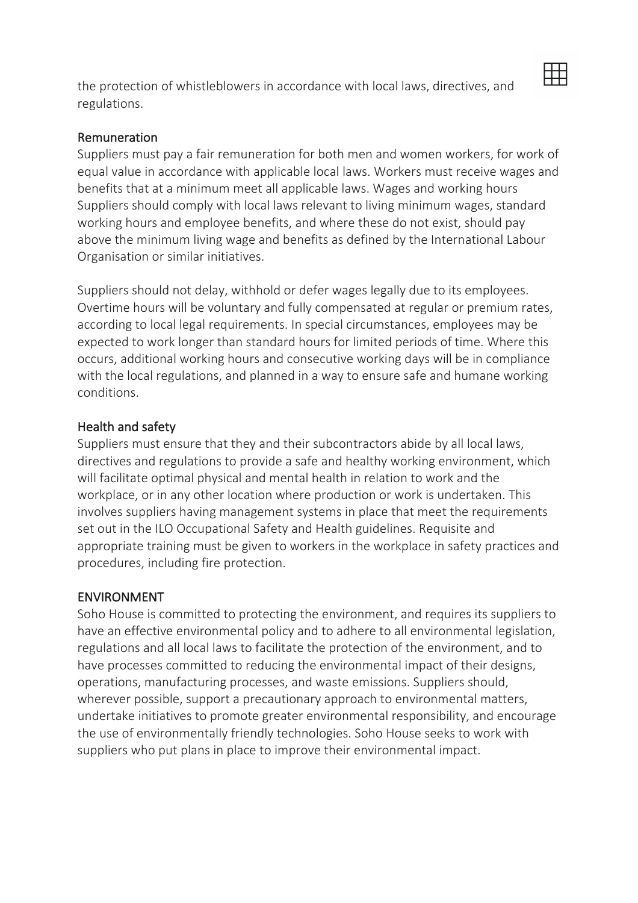the protection of whistleblowers in accordance with local laws, directives, and regulations.

# 用

### Remuneration

Suppliers must pay a fair remuneration for both men and women workers, for work of equal value in accordance with applicable local laws. Workers must receive wages and benefits that at a minimum meet all applicable laws. Wages and working hours Suppliers should comply with local laws relevant to living minimum wages, standard working hours and employee benefits, and where these do not exist, should pay above the minimum living wage and benefits as defined by the International Labour Organisation or similar initiatives.

Suppliers should not delay, withhold or defer wages legally due to its employees. Overtime hours will be voluntary and fully compensated at regular or premium rates, according to local legal requirements. In special circumstances, employees may be expected to work longer than standard hours for limited periods of time. Where this occurs, additional working hours and consecutive working days will be in compliance with the local regulations, and planned in a way to ensure safe and humane working conditions.

#### Health and safety

Suppliers must ensure that they and their subcontractors abide by all local laws, directives and regulations to provide a safe and healthy working environment, which will facilitate optimal physical and mental health in relation to work and the workplace, or in any other location where production or work is undertaken. This involves suppliers having management systems in place that meet the requirements set out in the ILO Occupational Safety and Health guidelines. Requisite and appropriate training must be given to workers in the workplace in safety practices and procedures, including fire protection.

# ENVIRONMENT

Soho House is committed to protecting the environment, and requires its suppliers to have an effective environmental policy and to adhere to all environmental legislation, regulations and all local laws to facilitate the protection of the environment, and to have processes committed to reducing the environmental impact of their designs, operations, manufacturing processes, and waste emissions. Suppliers should, wherever possible, support a precautionary approach to environmental matters, undertake initiatives to promote greater environmental responsibility, and encourage the use of environmentally friendly technologies. Soho House seeks to work with suppliers who put plans in place to improve their environmental impact.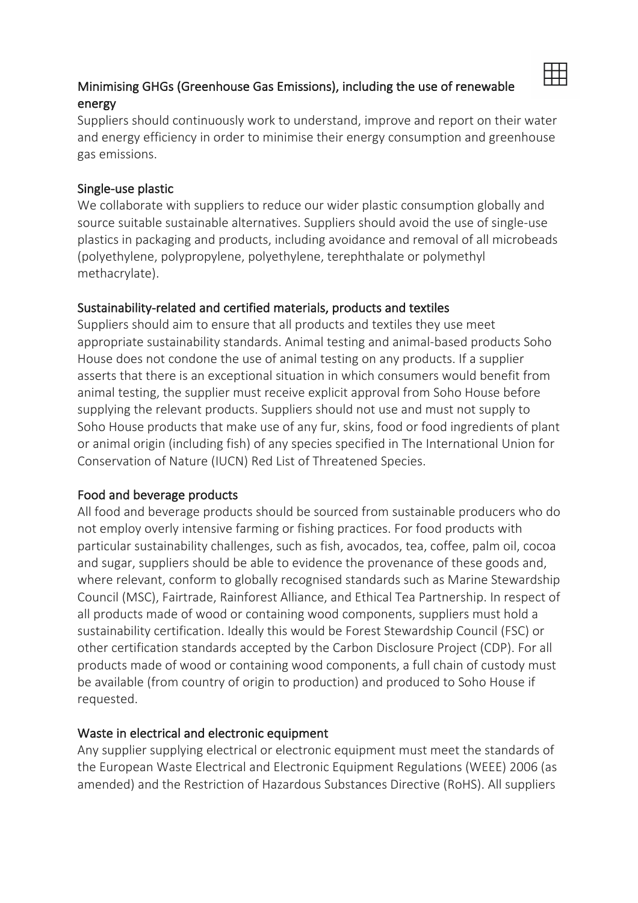# Minimising GHGs (Greenhouse Gas Emissions), including the use of renewable energy

用

Suppliers should continuously work to understand, improve and report on their water and energy efficiency in order to minimise their energy consumption and greenhouse gas emissions.

#### Single-use plastic

We collaborate with suppliers to reduce our wider plastic consumption globally and source suitable sustainable alternatives. Suppliers should avoid the use of single-use plastics in packaging and products, including avoidance and removal of all microbeads (polyethylene, polypropylene, polyethylene, terephthalate or polymethyl methacrylate).

# Sustainability-related and certified materials, products and textiles

Suppliers should aim to ensure that all products and textiles they use meet appropriate sustainability standards. Animal testing and animal-based products Soho House does not condone the use of animal testing on any products. If a supplier asserts that there is an exceptional situation in which consumers would benefit from animal testing, the supplier must receive explicit approval from Soho House before supplying the relevant products. Suppliers should not use and must not supply to Soho House products that make use of any fur, skins, food or food ingredients of plant or animal origin (including fish) of any species specified in The International Union for Conservation of Nature (IUCN) Red List of Threatened Species.

# Food and beverage products

All food and beverage products should be sourced from sustainable producers who do not employ overly intensive farming or fishing practices. For food products with particular sustainability challenges, such as fish, avocados, tea, coffee, palm oil, cocoa and sugar, suppliers should be able to evidence the provenance of these goods and, where relevant, conform to globally recognised standards such as Marine Stewardship Council (MSC), Fairtrade, Rainforest Alliance, and Ethical Tea Partnership. In respect of all products made of wood or containing wood components, suppliers must hold a sustainability certification. Ideally this would be Forest Stewardship Council (FSC) or other certification standards accepted by the Carbon Disclosure Project (CDP). For all products made of wood or containing wood components, a full chain of custody must be available (from country of origin to production) and produced to Soho House if requested.

# Waste in electrical and electronic equipment

Any supplier supplying electrical or electronic equipment must meet the standards of the European Waste Electrical and Electronic Equipment Regulations (WEEE) 2006 (as amended) and the Restriction of Hazardous Substances Directive (RoHS). All suppliers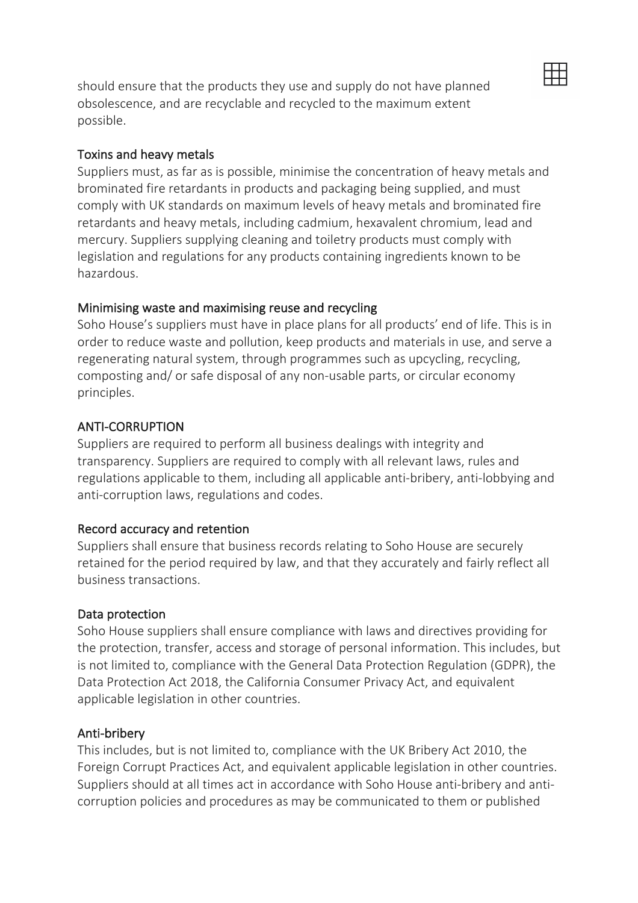should ensure that the products they use and supply do not have planned obsolescence, and are recyclable and recycled to the maximum extent possible.

#### Toxins and heavy metals

Suppliers must, as far as is possible, minimise the concentration of heavy metals and brominated fire retardants in products and packaging being supplied, and must comply with UK standards on maximum levels of heavy metals and brominated fire retardants and heavy metals, including cadmium, hexavalent chromium, lead and mercury. Suppliers supplying cleaning and toiletry products must comply with legislation and regulations for any products containing ingredients known to be hazardous.

丗

#### Minimising waste and maximising reuse and recycling

Soho House's suppliers must have in place plans for all products' end of life. This is in order to reduce waste and pollution, keep products and materials in use, and serve a regenerating natural system, through programmes such as upcycling, recycling, composting and/ or safe disposal of any non-usable parts, or circular economy principles.

#### ANTI-CORRUPTION

Suppliers are required to perform all business dealings with integrity and transparency. Suppliers are required to comply with all relevant laws, rules and regulations applicable to them, including all applicable anti-bribery, anti-lobbying and anti-corruption laws, regulations and codes.

#### Record accuracy and retention

Suppliers shall ensure that business records relating to Soho House are securely retained for the period required by law, and that they accurately and fairly reflect all business transactions.

#### Data protection

Soho House suppliers shall ensure compliance with laws and directives providing for the protection, transfer, access and storage of personal information. This includes, but is not limited to, compliance with the General Data Protection Regulation (GDPR), the Data Protection Act 2018, the California Consumer Privacy Act, and equivalent applicable legislation in other countries.

#### Anti-bribery

This includes, but is not limited to, compliance with the UK Bribery Act 2010, the Foreign Corrupt Practices Act, and equivalent applicable legislation in other countries. Suppliers should at all times act in accordance with Soho House anti-bribery and anticorruption policies and procedures as may be communicated to them or published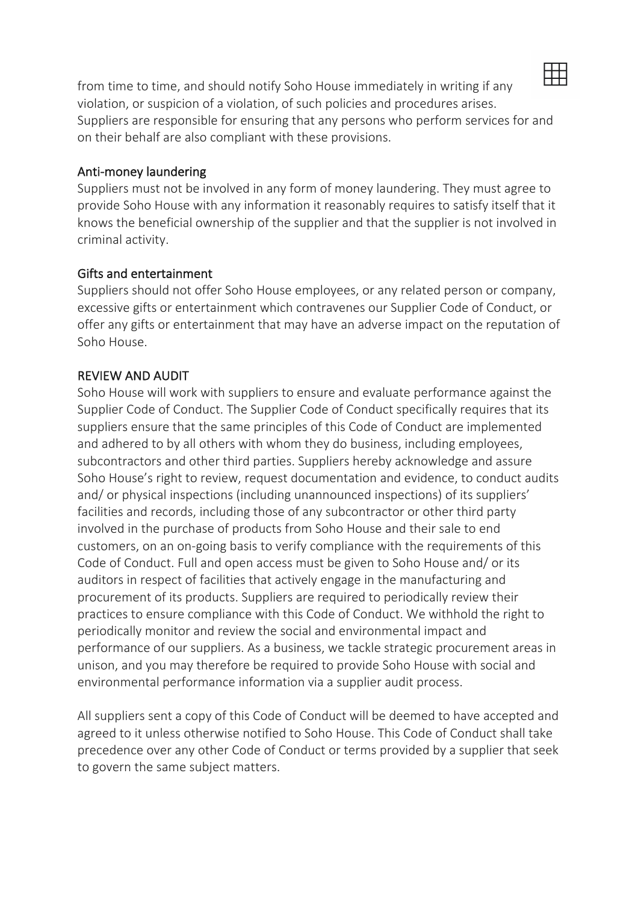

from time to time, and should notify Soho House immediately in writing if any violation, or suspicion of a violation, of such policies and procedures arises. Suppliers are responsible for ensuring that any persons who perform services for and on their behalf are also compliant with these provisions.

#### Anti-money laundering

Suppliers must not be involved in any form of money laundering. They must agree to provide Soho House with any information it reasonably requires to satisfy itself that it knows the beneficial ownership of the supplier and that the supplier is not involved in criminal activity.

#### Gifts and entertainment

Suppliers should not offer Soho House employees, or any related person or company, excessive gifts or entertainment which contravenes our Supplier Code of Conduct, or offer any gifts or entertainment that may have an adverse impact on the reputation of Soho House.

#### REVIEW AND AUDIT

Soho House will work with suppliers to ensure and evaluate performance against the Supplier Code of Conduct. The Supplier Code of Conduct specifically requires that its suppliers ensure that the same principles of this Code of Conduct are implemented and adhered to by all others with whom they do business, including employees, subcontractors and other third parties. Suppliers hereby acknowledge and assure Soho House's right to review, request documentation and evidence, to conduct audits and/ or physical inspections (including unannounced inspections) of its suppliers' facilities and records, including those of any subcontractor or other third party involved in the purchase of products from Soho House and their sale to end customers, on an on-going basis to verify compliance with the requirements of this Code of Conduct. Full and open access must be given to Soho House and/ or its auditors in respect of facilities that actively engage in the manufacturing and procurement of its products. Suppliers are required to periodically review their practices to ensure compliance with this Code of Conduct. We withhold the right to periodically monitor and review the social and environmental impact and performance of our suppliers. As a business, we tackle strategic procurement areas in unison, and you may therefore be required to provide Soho House with social and environmental performance information via a supplier audit process.

All suppliers sent a copy of this Code of Conduct will be deemed to have accepted and agreed to it unless otherwise notified to Soho House. This Code of Conduct shall take precedence over any other Code of Conduct or terms provided by a supplier that seek to govern the same subject matters.